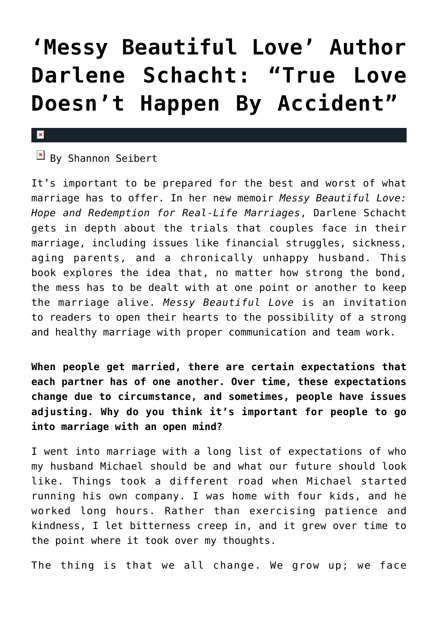## **['Messy Beautiful Love' Author](https://cupidspulse.com/76869/darlene-schacht-messy-beautiful-love-author-interview/) [Darlene Schacht: "True Love](https://cupidspulse.com/76869/darlene-schacht-messy-beautiful-love-author-interview/) [Doesn't Happen By Accident"](https://cupidspulse.com/76869/darlene-schacht-messy-beautiful-love-author-interview/)**

## $\pmb{\times}$

## $B_y$  Shannon Seibert

It's important to be prepared for the best and worst of what marriage has to offer. In her new memoir *Messy Beautiful Love: Hope and Redemption for Real-Life Marriages*, Darlene Schacht gets in depth about the trials that couples face in their marriage, including issues like financial struggles, sickness, aging parents, and a chronically unhappy husband. This book explores the idea that, no matter how strong the bond, the mess has to be dealt with at one point or another to keep the marriage alive. *Messy Beautiful Love* is an invitation to readers to open their hearts to the possibility of a strong and healthy marriage with proper communication and team work.

**When people get married, there are certain expectations that each partner has of one another. Over time, these expectations change due to circumstance, and sometimes, people have issues adjusting. Why do you think it's important for people to go into marriage with an open mind?**

I went into marriage with a long list of expectations of who my husband Michael should be and what our future should look like. Things took a different road when Michael started running his own company. I was home with four kids, and he worked long hours. Rather than exercising patience and kindness, I let bitterness creep in, and it grew over time to the point where it took over my thoughts.

The thing is that we all change. We grow up; we face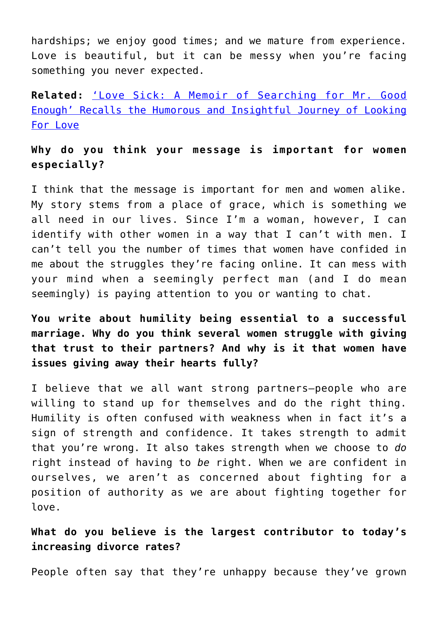hardships; we enjoy good times; and we mature from experience. Love is beautiful, but it can be messy when you're facing something you never expected.

**Related:** ['Love Sick: A Memoir of Searching for Mr. Good](http://cupidspulse.com/love-sick-a-memoir-of-searching-for-mr-good-enough-frances-kuffel-author-interview/) [Enough' Recalls the Humorous and Insightful Journey of Looking](http://cupidspulse.com/love-sick-a-memoir-of-searching-for-mr-good-enough-frances-kuffel-author-interview/) [For Love](http://cupidspulse.com/love-sick-a-memoir-of-searching-for-mr-good-enough-frances-kuffel-author-interview/)

## **Why do you think your message is important for women especially?**

I think that the message is important for men and women alike. My story stems from a place of grace, which is something we all need in our lives. Since I'm a woman, however, I can identify with other women in a way that I can't with men. I can't tell you the number of times that women have confided in me about the struggles they're facing online. It can mess with your mind when a seemingly perfect man (and I do mean seemingly) is paying attention to you or wanting to chat.

**You write about humility being essential to a successful marriage. Why do you think several women struggle with giving that trust to their partners? And why is it that women have issues giving away their hearts fully?**

I believe that we all want strong partners—people who are willing to stand up for themselves and do the right thing. Humility is often confused with weakness when in fact it's a sign of strength and confidence. It takes strength to admit that you're wrong. It also takes strength when we choose to *do* right instead of having to *be* right. When we are confident in ourselves, we aren't as concerned about fighting for a position of authority as we are about fighting together for love.

**What do you believe is the largest contributor to today's increasing divorce rates?**

People often say that they're unhappy because they've grown